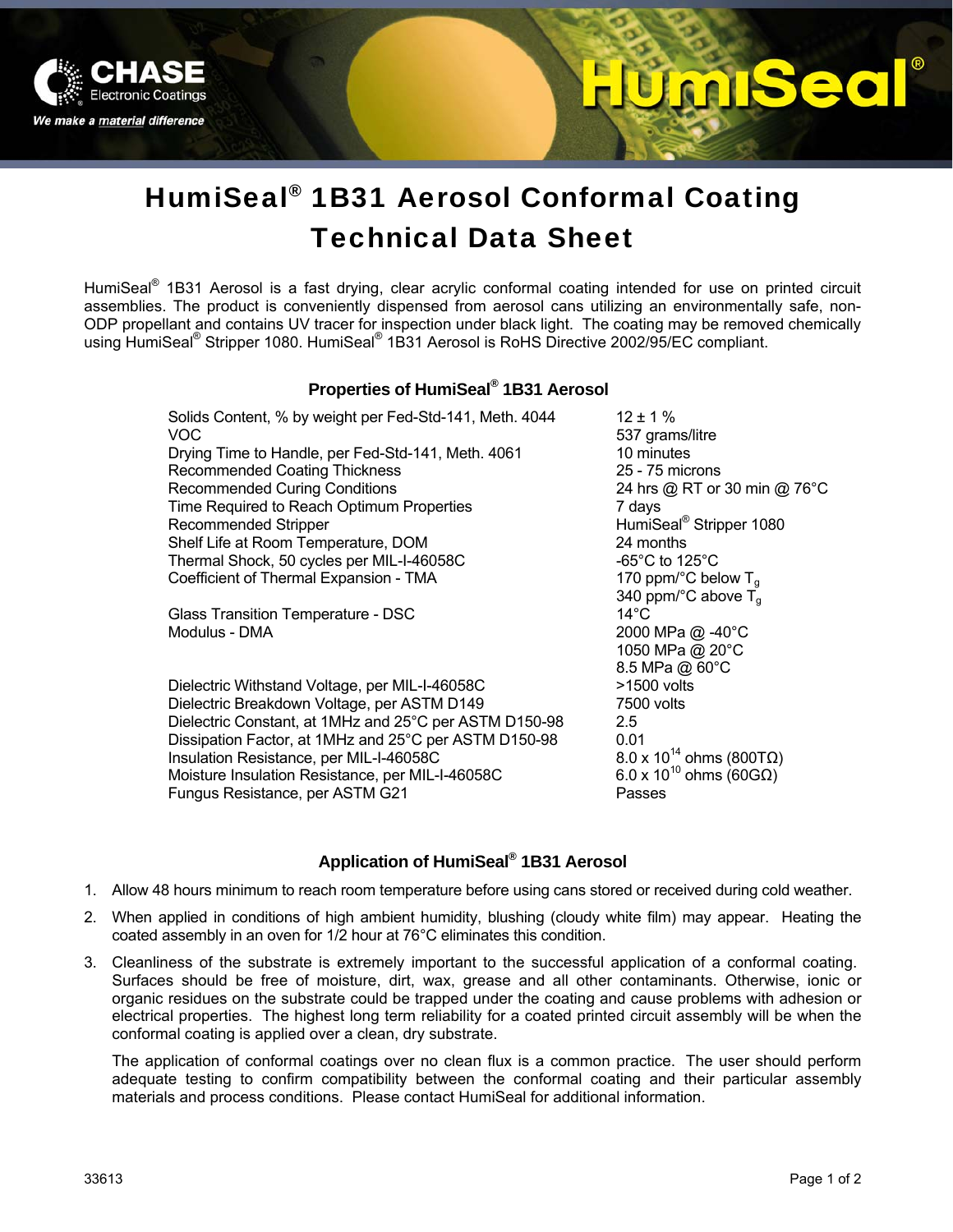

# 520 **CALL**

# HumiSeal® 1B31 Aerosol Conformal Coating Technical Data Sheet

HumiSeal<sup>®</sup> 1B31 Aerosol is a fast drying, clear acrylic conformal coating intended for use on printed circuit assemblies. The product is conveniently dispensed from aerosol cans utilizing an environmentally safe, non-ODP propellant and contains UV tracer for inspection under black light. The coating may be removed chemically using HumiSeal<sup>®</sup> Stripper 1080. HumiSeal<sup>®</sup> 1B31 Aerosol is RoHS Directive 2002/95/EC compliant.

### **Properties of HumiSeal® 1B31 Aerosol**

Solids Content, % by weight per Fed-Std-141, Meth.  $4044$  12 ± 1 % VOC 637 grams/litre

Drying Time to Handle, per Fed-Std-141, Meth. 4061 10 minutes Recommended Coating Thickness 25 - 75 microns Recommended Curing Conditions 24 hrs @ RT or 30 min @ 76°C Time Required to Reach Optimum Properties 7 days Recommended Stripper **Mateurs** Christian HumiSeal<sup>®</sup> Stripper 1080 Shelf Life at Room Temperature, DOM 24 months Thermal Shock, 50 cycles per MIL-I-46058C  $-65^{\circ}$ C to 125°C Coefficient of Thermal Expansion - TMA  $170$  ppm/°C below T<sub>g</sub>

Glass Transition Temperature - DSC Modulus - DMA 2000 MPa @ -40°C

Dielectric Withstand Voltage, per MIL-I-46058C >1500 volts Dielectric Breakdown Voltage, per ASTM D149 7500 volts Dielectric Constant, at 1MHz and 25°C per ASTM D150-98 2.5 Dissipation Factor, at 1MHz and 25°C per ASTM D150-98 0.01<br>Insulation Resistance, per MIL-I-46058C 8.0 x 10<sup>14</sup> ohms (800TQ) Insulation Resistance, per MIL-I-46058C 8.0 x 10<sup>14</sup> ohms (800TΩ)<br>Moisture Insulation Resistance, per MIL-I-46058C 6.0 x 10<sup>10</sup> ohms (60GΩ) Moisture Insulation Resistance, per MIL-I-46058C Fungus Resistance, per ASTM G21 Passes

340 ppm/°C above  $\overline{T}_g$ <br>14°C 1050 MPa @ 20°C 8.5 MPa @ 60°C

### **Application of HumiSeal® 1B31 Aerosol**

- 1. Allow 48 hours minimum to reach room temperature before using cans stored or received during cold weather.
- 2. When applied in conditions of high ambient humidity, blushing (cloudy white film) may appear. Heating the coated assembly in an oven for 1/2 hour at 76°C eliminates this condition.
- 3. Cleanliness of the substrate is extremely important to the successful application of a conformal coating. Surfaces should be free of moisture, dirt, wax, grease and all other contaminants. Otherwise, ionic or organic residues on the substrate could be trapped under the coating and cause problems with adhesion or electrical properties. The highest long term reliability for a coated printed circuit assembly will be when the conformal coating is applied over a clean, dry substrate.

The application of conformal coatings over no clean flux is a common practice. The user should perform adequate testing to confirm compatibility between the conformal coating and their particular assembly materials and process conditions. Please contact HumiSeal for additional information.